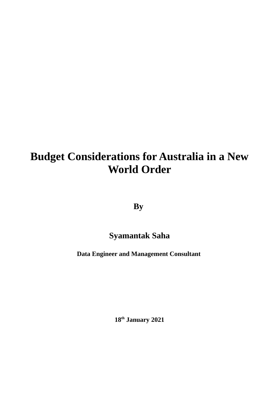# **Budget Considerations for Australia in a New World Order**

**By** 

## **Syamantak Saha**

**Data Engineer and Management Consultant**

**18th January 2021**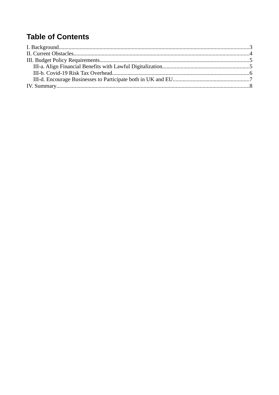## **Table of Contents**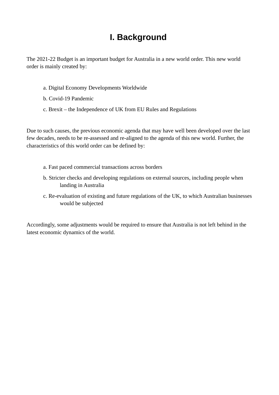## <span id="page-2-0"></span>**I. Background**

The 2021-22 Budget is an important budget for Australia in a new world order. This new world order is mainly created by:

- a. Digital Economy Developments Worldwide
- b. Covid-19 Pandemic
- c. Brexit the Independence of UK from EU Rules and Regulations

Due to such causes, the previous economic agenda that may have well been developed over the last few decades, needs to be re-assessed and re-aligned to the agenda of this new world. Further, the characteristics of this world order can be defined by:

- a. Fast paced commercial transactions across borders
- b. Stricter checks and developing regulations on external sources, including people when landing in Australia
- c. Re-evaluation of existing and future regulations of the UK, to which Australian businesses would be subjected

Accordingly, some adjustments would be required to ensure that Australia is not left behind in the latest economic dynamics of the world.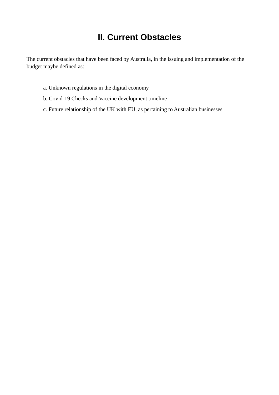## <span id="page-3-0"></span>**II. Current Obstacles**

The current obstacles that have been faced by Australia, in the issuing and implementation of the budget maybe defined as:

- a. Unknown regulations in the digital economy
- b. Covid-19 Checks and Vaccine development timeline
- c. Future relationship of the UK with EU, as pertaining to Australian businesses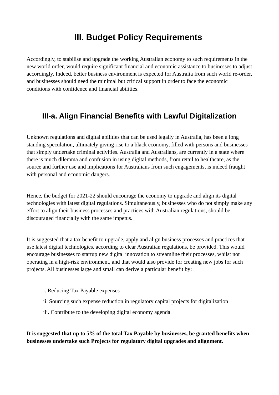### <span id="page-4-1"></span>**III. Budget Policy Requirements**

Accordingly, to stabilise and upgrade the working Australian economy to such requirements in the new world order, would require significant financial and economic assistance to businesses to adjust accordingly. Indeed, better business environment is expected for Australia from such world re-order, and businesses should need the minimal but critical support in order to face the economic conditions with confidence and financial abilities.

### <span id="page-4-0"></span>**III-a. Align Financial Benefits with Lawful Digitalization**

Unknown regulations and digital abilities that can be used legally in Australia, has been a long standing speculation, ultimately giving rise to a black economy, filled with persons and businesses that simply undertake criminal activities. Australia and Australians, are currently in a state where there is much dilemma and confusion in using digital methods, from retail to healthcare, as the source and further use and implications for Australians from such engagements, is indeed fraught with personal and economic dangers.

Hence, the budget for 2021-22 should encourage the economy to upgrade and align its digital technologies with latest digital regulations. Simultaneously, businesses who do not simply make any effort to align their business processes and practices with Australian regulations, should be discouraged financially with the same impetus.

It is suggested that a tax benefit to upgrade, apply and align business processes and practices that use latest digital technologies, according to clear Australian regulations, be provided. This would encourage businesses to startup new digital innovation to streamline their processes, whilst not operating in a high-risk environment, and that would also provide for creating new jobs for such projects. All businesses large and small can derive a particular benefit by:

- i. Reducing Tax Payable expenses
- ii. Sourcing such expense reduction in regulatory capital projects for digitalization
- iii. Contribute to the developing digital economy agenda

**It is suggested that up to 5% of the total Tax Payable by businesses, be granted benefits when businesses undertake such Projects for regulatory digital upgrades and alignment.**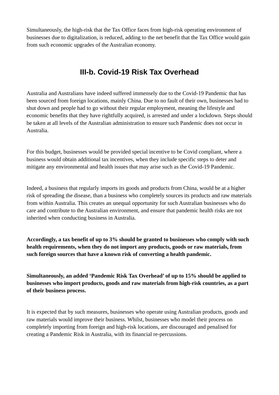Simultaneously, the high-risk that the Tax Office faces from high-risk operating environment of businesses due to digitalization, is reduced, adding to the net benefit that the Tax Office would gain from such economic upgrades of the Australian economy.

### <span id="page-5-0"></span>**III-b. Covid-19 Risk Tax Overhead**

Australia and Australians have indeed suffered immensely due to the Covid-19 Pandemic that has been sourced from foreign locations, mainly China. Due to no fault of their own, businesses had to shut down and people had to go without their regular employment, meaning the lifestyle and economic benefits that they have rightfully acquired, is arrested and under a lockdown. Steps should be taken at all levels of the Australian administration to ensure such Pandemic does not occur in Australia.

For this budget, businesses would be provided special incentive to be Covid compliant, where a business would obtain additional tax incentives, when they include specific steps to deter and mitigate any environmental and health issues that may arise such as the Covid-19 Pandemic.

Indeed, a business that regularly imports its goods and products from China, would be at a higher risk of spreading the disease, than a business who completely sources its products and raw materials from within Australia. This creates an unequal opportunity for such Australian businesses who do care and contribute to the Australian environment, and ensure that pandemic health risks are not inherited when conducting business in Australia.

**Accordingly, a tax benefit of up to 3% should be granted to businesses who comply with such health requirements, when they do not import any products, goods or raw materials, from such foreign sources that have a known risk of converting a health pandemic.**

**Simultaneously, an added 'Pandemic Risk Tax Overhead' of up to 15% should be applied to businesses who import products, goods and raw materials from high-risk countries, as a part of their business process.**

It is expected that by such measures, businesses who operate using Australian products, goods and raw materials would improve their business. Whilst, businesses who model their process on completely importing from foreign and high-risk locations, are discouraged and penalised for creating a Pandemic Risk in Australia, with its financial re-percussions.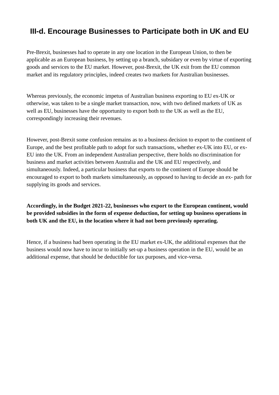### <span id="page-6-0"></span>**III-d. Encourage Businesses to Participate both in UK and EU**

Pre-Brexit, businesses had to operate in any one location in the European Union, to then be applicable as an European business, by setting up a branch, subsidary or even by virtue of exporting goods and services to the EU market. However, post-Brexit, the UK exit from the EU common market and its regulatory principles, indeed creates two markets for Australian businesses.

Whereas previously, the economic impetus of Australian business exporting to EU ex-UK or otherwise, was taken to be a single market transaction, now, with two defined markets of UK as well as EU, businesses have the opportunity to export both to the UK as well as the EU, correspondingly increasing their revenues.

However, post-Brexit some confusion remains as to a business decision to export to the continent of Europe, and the best profitable path to adopt for such transactions, whether ex-UK into EU, or ex-EU into the UK. From an independent Australian perspective, there holds no discrimination for business and market activities between Australia and the UK and EU respectively, and simultaneously. Indeed, a particular business that exports to the continent of Europe should be encouraged to export to both markets simultaneously, as opposed to having to decide an ex- path for supplying its goods and services.

**Accordingly, in the Budget 2021-22, businesses who export to the European continent, would be provided subsidies in the form of expense deduction, for setting up business operations in both UK and the EU, in the location where it had not been previously operating.**

Hence, if a business had been operating in the EU market ex-UK, the additional expenses that the business would now have to incur to initially set-up a business operation in the EU, would be an additional expense, that should be deductible for tax purposes, and vice-versa.